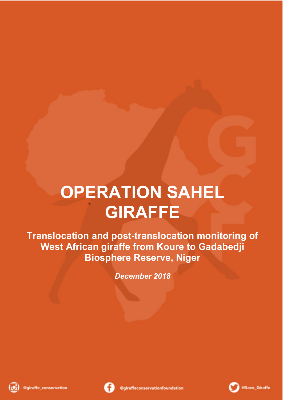# **OPERATION SAHEL GIRAFFE**

**Translocation and post-translocation monitoring of West African giraffe from Koure to Gadabedji Biosphere Reserve, Niger**

*December 2018*





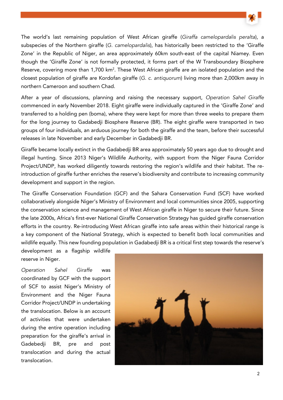

The world's last remaining population of West African giraffe (Giraffa camelopardalis peralta), a subspecies of the Northern giraffe (G. camelopardalis), has historically been restricted to the 'Giraffe Zone' in the Republic of Niger, an area approximately 60km south-east of the capital Niamey. Even though the 'Giraffe Zone' is not formally protected, it forms part of the W Transboundary Biosphere Reserve, covering more than 1,700 km<sup>2</sup>. These West African giraffe are an isolated population and the closest population of giraffe are Kordofan giraffe (G. c. antiquorum) living more than 2,000km away in northern Cameroon and southern Chad.

After a year of discussions, planning and raising the necessary support, Operation Sahel Giraffe commenced in early November 2018. Eight giraffe were individually captured in the 'Giraffe Zone' and transferred to a holding pen (boma), where they were kept for more than three weeks to prepare them for the long journey to Gadabedji Biosphere Reserve (BR). The eight giraffe were transported in two groups of four individuals, an arduous journey for both the giraffe and the team, before their successful releases in late November and early December in Gadabedji BR.

Giraffe became locally extinct in the Gadabedji BR area approximately 50 years ago due to drought and illegal hunting. Since 2013 Niger's Wildlife Authority, with support from the Niger Fauna Corridor Project/UNDP, has worked diligently towards restoring the region's wildlife and their habitat. The reintroduction of giraffe further enriches the reserve's biodiversity and contribute to increasing community development and support in the region.

The Giraffe Conservation Foundation (GCF) and the Sahara Conservation Fund (SCF) have worked collaboratively alongside Niger's Ministry of Environment and local communities since 2005, supporting the conservation science and management of West African giraffe in Niger to secure their future. Since the late 2000s, Africa's first-ever National Giraffe Conservation Strategy has guided giraffe conservation efforts in the country. Re-introducing West African giraffe into safe areas within their historical range is a key component of the National Strategy, which is expected to benefit both local communities and wildlife equally. This new founding population in Gadabedji BR is a critical first step towards the reserve's

development as a flagship wildlife reserve in Niger.

Operation Sahel Giraffe was coordinated by GCF with the support of SCF to assist Niger's Ministry of Environment and the Niger Fauna Corridor Project/UNDP in undertaking the translocation. Below is an account of activities that were undertaken during the entire operation including preparation for the giraffe's arrival in Gadebedji BR, pre and post translocation and during the actual translocation.

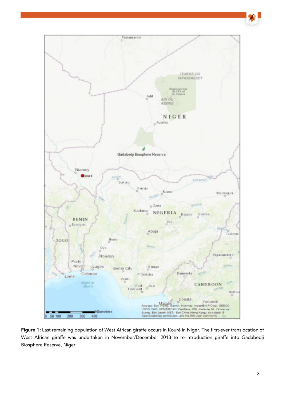

Figure 1: Last remaining population of West African giraffe occurs in Kouré in Niger. The first-ever translocation of West African giraffe was undertaken in November/December 2018 to re-introduction giraffe into Gadabedji Biosphere Reserve, Niger.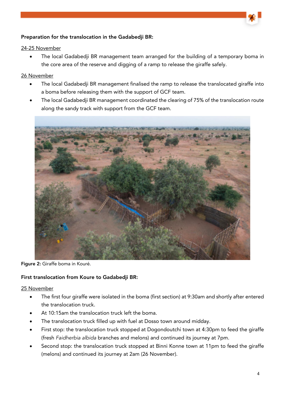# Preparation for the translocation in the Gadabedji BR:

## 24-25 November

The local Gadabedii BR management team arranged for the building of a temporary boma in the core area of the reserve and digging of a ramp to release the giraffe safely.

## 26 November

- The local Gadabedji BR management finalised the ramp to release the translocated giraffe into a boma before releasing them with the support of GCF team.
- The local Gadabedji BR management coordinated the clearing of 75% of the translocation route along the sandy track with support from the GCF team.



Figure 2: Giraffe boma in Kouré.

# First translocation from Koure to Gadabedji BR:

- The first four giraffe were isolated in the boma (first section) at 9:30am and shortly after entered the translocation truck.
- At 10:15am the translocation truck left the boma.
- The translocation truck filled up with fuel at Dosso town around midday.
- First stop: the translocation truck stopped at Dogondoutchi town at 4:30pm to feed the giraffe (fresh Faidherbia albida branches and melons) and continued its journey at 7pm.
- Second stop: the translocation truck stopped at Binni Konne town at 11pm to feed the giraffe (melons) and continued its journey at 2am (26 November).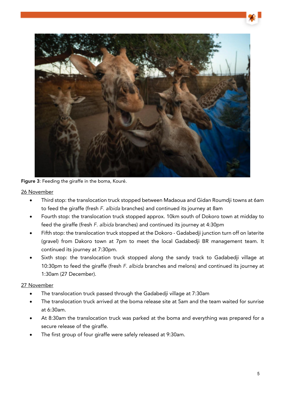

Figure 3: Feeding the giraffe in the boma, Kouré.

26 November

- Third stop: the translocation truck stopped between Madaoua and Gidan Roumdji towns at 6am to feed the giraffe (fresh F. albida branches) and continued its journey at 8am
- Fourth stop: the translocation truck stopped approx. 10km south of Dokoro town at midday to feed the giraffe (fresh F. albida branches) and continued its journey at 4:30pm
- Fifth stop: the translocation truck stopped at the Dokoro Gadabedji junction turn off on laterite (gravel) from Dakoro town at 7pm to meet the local Gadabedji BR management team. It continued its journey at 7:30pm.
- Sixth stop: the translocation truck stopped along the sandy track to Gadabedji village at 10:30pm to feed the giraffe (fresh F. albida branches and melons) and continued its journey at 1:30am (27 December).

- The translocation truck passed through the Gadabedji village at 7:30am
- The translocation truck arrived at the boma release site at 5am and the team waited for sunrise at 6:30am.
- At 8:30am the translocation truck was parked at the boma and everything was prepared for a secure release of the giraffe.
- The first group of four giraffe were safely released at 9:30am.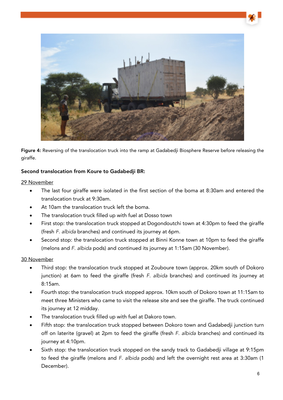

Figure 4: Reversing of the translocation truck into the ramp at Gadabedji Biosphere Reserve before releasing the giraffe.

## Second translocation from Koure to Gadabedji BR:

#### 29 November

- The last four giraffe were isolated in the first section of the boma at 8:30am and entered the translocation truck at 9:30am.
- At 10am the translocation truck left the boma.
- The translocation truck filled up with fuel at Dosso town
- First stop: the translocation truck stopped at Dogondoutchi town at 4:30pm to feed the giraffe (fresh F. albida branches) and continued its journey at 6pm.
- Second stop: the translocation truck stopped at Binni Konne town at 10pm to feed the giraffe (melons and F. albida pods) and continued its journey at 1:15am (30 November).

- Third stop: the translocation truck stopped at Zouboure town (approx. 20km south of Dokoro junction) at 6am to feed the giraffe (fresh F. albida branches) and continued its journey at 8:15am.
- Fourth stop: the translocation truck stopped approx. 10km south of Dokoro town at 11:15am to meet three Ministers who came to visit the release site and see the giraffe. The truck continued its journey at 12 midday.
- The translocation truck filled up with fuel at Dakoro town.
- Fifth stop: the translocation truck stopped between Dokoro town and Gadabedji junction turn off on laterite (gravel) at 2pm to feed the giraffe (fresh F. albida branches) and continued its journey at 4:10pm.
- Sixth stop: the translocation truck stopped on the sandy track to Gadabedji village at 9:15pm to feed the giraffe (melons and F. albida pods) and left the overnight rest area at 3:30am (1 December).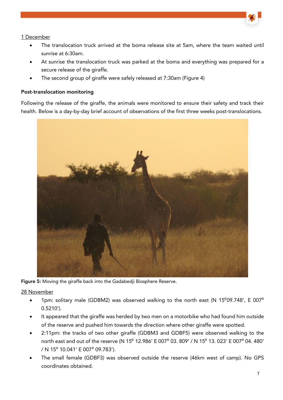- The translocation truck arrived at the boma release site at 5am, where the team waited until sunrise at 6:30am.
- At sunrise the translocation truck was parked at the boma and everything was prepared for a secure release of the giraffe.
- The second group of giraffe were safely released at 7:30am (Figure 4)

## Post-translocation monitoring

Following the release of the giraffe, the animals were monitored to ensure their safety and track their health. Below is a day-by-day brief account of observations of the first three weeks post-translocations.



Figure 5: Moving the giraffe back into the Gadabedji Biosphere Reserve.

- 1pm: solitary male (GDBM2) was observed walking to the north east (N 15 $^{\circ}$ 09.748', E 007 $^{\circ}$ 0.5210').
- It appeared that the giraffe was herded by two men on a motorbike who had found him outside of the reserve and pushed him towards the direction where other giraffe were spotted.
- 2:11pm: the tracks of two other giraffe (GDBM3 and GDBF5) were observed walking to the north east and out of the reserve (N 15<sup>°</sup> 12.986' E 007<sup>°</sup> 03. 809' / N 15<sup>°</sup> 13. 023' E 007<sup>°</sup> 04. 480' / N 15<sup>°</sup> 10.041' E 007<sup>°</sup> 09.783').
- The small female (GDBF3) was observed outside the reserve (46km west of camp). No GPS coordinates obtained.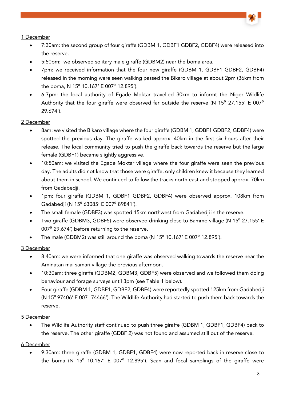- 7:30am: the second group of four giraffe (GDBM 1, GDBF1 GDBF2, GDBF4) were released into the reserve.
- 5:50pm: we observed solitary male giraffe (GDBM2) near the boma area.
- 7pm: we received information that the four new giraffe (GDBM 1, GDBF1 GDBF2, GDBF4) released in the morning were seen walking passed the Bikaro village at about 2pm (36km from the boma, N  $15^{\circ}$  10.167' E 007 $^{\circ}$  12.895').
- 6-7pm: the local authority of Egade Moktar travelled 30km to informt the Niger Wildlife Authority that the four giraffe were observed far outside the reserve (N 15 $^{\circ}$  27.155' E 007 $^{\circ}$ 29.674').

# 2 December

- 8am: we visited the Bikaro village where the four giraffe (GDBM 1, GDBF1 GDBF2, GDBF4) were spotted the previous day. The giraffe walked approx. 40km in the first six hours after their release. The local community tried to push the giraffe back towards the reserve but the large female (GDBF1) became slightly aggressive.
- 10:50am: we visited the Egade Moktar village where the four giraffe were seen the previous day. The adults did not know that those were giraffe, only children knew it because they learned about them in school. We continued to follow the tracks north east and stopped approx. 70km from Gadabedii.
- 1pm: four giraffe (GDBM 1, GDBF1 GDBF2, GDBF4) were observed approx. 108km from Gadabedii (N 15<sup>°</sup> 63085' E 007<sup>°</sup> 89841').
- The small female (GDBF3) was spotted 15km northwest from Gadabedji in the reserve.
- Two giraffe (GDBM3, GDBF5) were observed drinking close to Bammo village (N 15<sup>0</sup> 27.155' E 007<sup>0</sup> 29.674') before returning to the reserve.
- The male (GDBM2) was still around the boma (N  $15^{\circ}$  10.167' E 007 $^{\circ}$  12.895').

# 3 December

- 8:40am: we were informed that one giraffe was observed walking towards the reserve near the Aminatan mai samari village the previous afternoon.
- 10:30am: three giraffe (GDBM2, GDBM3, GDBF5) were observed and we followed them doing behaviour and forage surveys until 3pm (see Table 1 below).
- Four giraffe (GDBM 1, GDBF1, GDBF2, GDBF4) were reportedly spotted 125km from Gadabedji (N  $15^{\circ}$  97406' E 007 $^{\circ}$  74466'). The Wildlife Authority had started to push them back towards the reserve.

# 5 December

• The Wildlife Authority staff continued to push three giraffe (GDBM 1, GDBF1, GDBF4) back to the reserve. The other giraffe (GDBF 2) was not found and assumed still out of the reserve.

# 6 December

• 9:30am: three giraffe (GDBM 1, GDBF1, GDBF4) were now reported back in reserve close to the boma (N  $15^{\circ}$  10.167' E 007 $^{\circ}$  12.895'). Scan and focal samplings of the giraffe were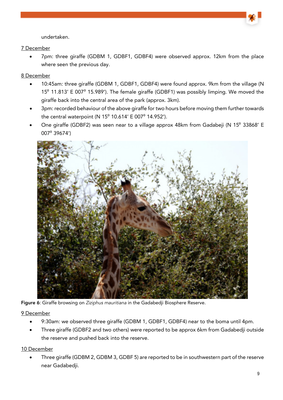

• 7pm: three giraffe (GDBM 1, GDBF1, GDBF4) were observed approx. 12km from the place where seen the previous day.

## 8 December

- 10:45am: three giraffe (GDBM 1, GDBF1, GDBF4) were found approx. 9km from the village (N 15<sup>o</sup> 11.813' E 007<sup>o</sup> 15.989'). The female giraffe (GDBF1) was possibly limping. We moved the giraffe back into the central area of the park (approx. 3km).
- 3pm: recorded behaviour of the above giraffe for two hours before moving them further towards the central waterpoint (N  $15^{\circ}$  10.614' E 007 $^{\circ}$  14.952').
- One giraffe (GDBF2) was seen near to a village approx 48km from Gadabeji (N 15<sup>0</sup> 33868' E 007⁰ 39674')



Figure 6: Giraffe browsing on Ziziphus mauritiana in the Gadabedii Biosphere Reserve.

9 December

- 9:30am: we observed three giraffe (GDBM 1, GDBF1, GDBF4) near to the boma until 4pm.
- Three giraffe (GDBF2 and two others) were reported to be approx 6km from Gadabedji outside the reserve and pushed back into the reserve.

# 10 December

• Three giraffe (GDBM 2, GDBM 3, GDBF 5) are reported to be in southwestern part of the reserve near Gadabedji.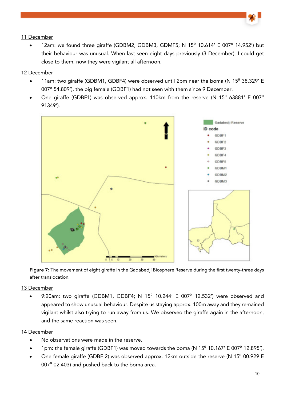12am: we found three giraffe (GDBM2, GDBM3, GDMF5; N  $15^{\circ}$  10.614' E 007 $^{\circ}$  14.952') but their behaviour was unusual. When last seen eight days previously (3 December), I could get close to them, now they were vigilant all afternoon.

#### 12 December

- 11am: two giraffe (GDBM1, GDBF4) were observed until 2pm near the boma (N 15<sup>°</sup> 38.329' E 007<sup>0</sup> 54.809'), the big female (GDBF1) had not seen with them since 9 December.
- One giraffe (GDBF1) was observed approx. 110km from the reserve (N  $15^{\circ}$  63881' E 007 $^{\circ}$ 91349').



Figure 7: The movement of eight giraffe in the Gadabedii Biosphere Reserve during the first twenty-three days after translocation.

#### 13 December

9:20am: two giraffe (GDBM1, GDBF4; N 15 $^{\circ}$  10.244' E 007 $^{\circ}$  12.532') were observed and appeared to show unusual behaviour. Despite us staying approx. 100m away and they remained vigilant whilst also trying to run away from us. We observed the giraffe again in the afternoon, and the same reaction was seen.

#### 14 December

- No observations were made in the reserve.
- 1pm: the female giraffe (GDBF1) was moved towards the boma (N  $15^{\circ}$  10.167' E 007 $^{\circ}$  12.895').
- One female giraffe (GDBF 2) was observed approx. 12km outside the reserve (N 15<sup>0</sup> 00.929 E 007<sup>°</sup> 02.403) and pushed back to the boma area.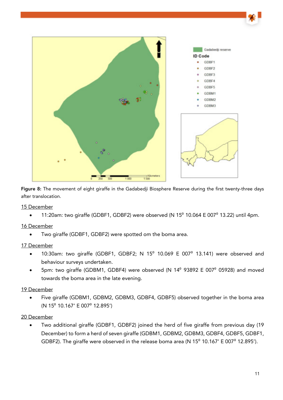

Figure 8: The movement of eight giraffe in the Gadabedji Biosphere Reserve during the first twenty-three days after translocation.

#### 15 December

11:20am: two giraffe (GDBF1, GDBF2) were observed (N  $15^{\circ}$  10.064 E 007 $^{\circ}$  13.22) until 4pm.

#### 16 December

• Two giraffe (GDBF1, GDBF2) were spotted om the boma area.

#### 17 December

- 10:30am: two giraffe (GDBF1, GDBF2; N 15<sup>0</sup> 10.069 E 007<sup>0</sup> 13.141) were observed and behaviour surveys undertaken.
- 5pm: two giraffe (GDBM1, GDBF4) were observed (N 14<sup>0</sup> 93892 E 007<sup>0</sup> 05928) and moved towards the boma area in the late evening.

#### 19 December

• Five giraffe (GDBM1, GDBM2, GDBM3, GDBF4, GDBF5) observed together in the boma area (N 15⁰ 10.167' E 007⁰ 12.895')

#### 20 December

• Two additional giraffe (GDBF1, GDBF2) joined the herd of five giraffe from previous day (19 December) to form a herd of seven giraffe (GDBM1, GDBM2, GDBM3, GDBF4, GDBF5, GDBF1, GDBF2). The giraffe were observed in the release boma area (N  $15^{\circ}$  10.167' E 007 $^{\circ}$  12.895').